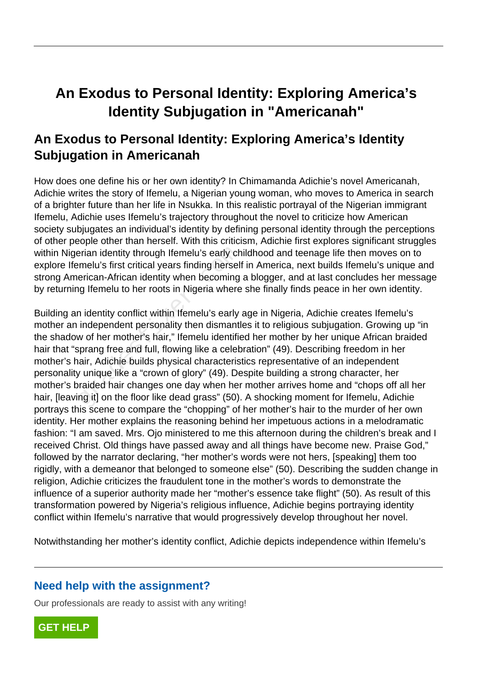# **An Exodus to Personal Identity: Exploring America's Identity Subjugation in "Americanah"**

# **An Exodus to Personal Identity: Exploring America's Identity Subjugation in Americanah**

How does one define his or her own identity? In Chimamanda Adichie's novel Americanah, Adichie writes the story of Ifemelu, a Nigerian young woman, who moves to America in search of a brighter future than her life in Nsukka. In this realistic portrayal of the Nigerian immigrant Ifemelu, Adichie uses Ifemelu's trajectory throughout the novel to criticize how American society subjugates an individual's identity by defining personal identity through the perceptions of other people other than herself. With this criticism, Adichie first explores significant struggles within Nigerian identity through Ifemelu's early childhood and teenage life then moves on to explore Ifemelu's first critical years finding herself in America, next builds Ifemelu's unique and strong American-African identity when becoming a blogger, and at last concludes her message by returning Ifemelu to her roots in Nigeria where she finally finds peace in her own identity.

Building an identity conflict within Ifemelu's early age in Nigeria, Adichie creates Ifemelu's mother an independent personality then dismantles it to religious subjugation. Growing up "in the shadow of her mother's hair," Ifemelu identified her mother by her unique African braided hair that "sprang free and full, flowing like a celebration" (49). Describing freedom in her mother's hair, Adichie builds physical characteristics representative of an independent personality unique like a "crown of glory" (49). Despite building a strong character, her mother's braided hair changes one day when her mother arrives home and "chops off all her hair, [leaving it] on the floor like dead grass" (50). A shocking moment for Ifemelu, Adichie portrays this scene to compare the "chopping" of her mother's hair to the murder of her own identity. Her mother explains the reasoning behind her impetuous actions in a melodramatic fashion: "I am saved. Mrs. Ojo ministered to me this afternoon during the children's break and I received Christ. Old things have passed away and all things have become new. Praise God," followed by the narrator declaring, "her mother's words were not hers, [speaking] them too rigidly, with a demeanor that belonged to someone else" (50). Describing the sudden change in religion, Adichie criticizes the fraudulent tone in the mother's words to demonstrate the influence of a superior authority made her "mother's essence take flight" (50). As result of this transformation powered by Nigeria's religious influence, Adichie begins portraying identity conflict within Ifemelu's narrative that would progressively develop throughout her novel. erian identity through Ifemelu's early chemelu's first critical years finding herselformelu's first critical years finding herselformerican-African identity when becoming ig Ifemelu to her roots in Nigeria where in identit

Notwithstanding her mother's identity conflict, Adichie depicts independence within Ifemelu's

## **Need help with the assignment?**

Our professionals are ready to assist with any writing!

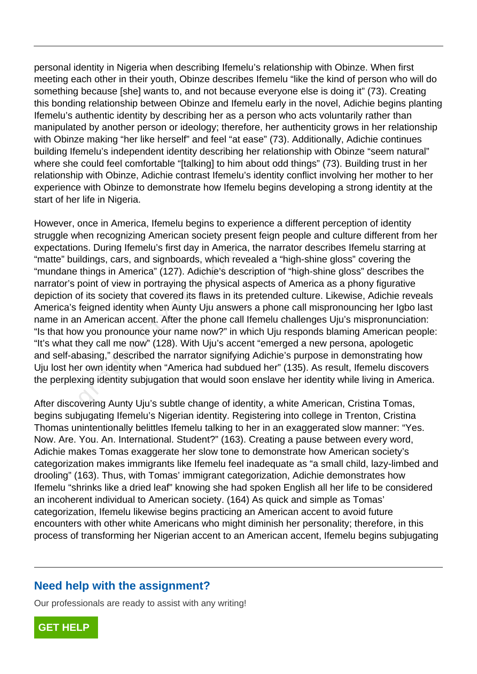personal identity in Nigeria when describing Ifemelu's relationship with Obinze. When first meeting each other in their youth, Obinze describes Ifemelu "like the kind of person who will do something because [she] wants to, and not because everyone else is doing it" (73). Creating this bonding relationship between Obinze and Ifemelu early in the novel, Adichie begins planting Ifemelu's authentic identity by describing her as a person who acts voluntarily rather than manipulated by another person or ideology; therefore, her authenticity grows in her relationship with Obinze making "her like herself" and feel "at ease" (73). Additionally, Adichie continues building Ifemelu's independent identity describing her relationship with Obinze "seem natural" where she could feel comfortable "[talking] to him about odd things" (73). Building trust in her relationship with Obinze, Adichie contrast Ifemelu's identity conflict involving her mother to her experience with Obinze to demonstrate how Ifemelu begins developing a strong identity at the start of her life in Nigeria.

However, once in America, Ifemelu begins to experience a different perception of identity struggle when recognizing American society present feign people and culture different from her expectations. During Ifemelu's first day in America, the narrator describes Ifemelu starring at "matte" buildings, cars, and signboards, which revealed a "high-shine gloss" covering the "mundane things in America" (127). Adichie's description of "high-shine gloss" describes the narrator's point of view in portraying the physical aspects of America as a phony figurative depiction of its society that covered its flaws in its pretended culture. Likewise, Adichie reveals America's feigned identity when Aunty Uju answers a phone call mispronouncing her Igbo last name in an American accent. After the phone call Ifemelu challenges Uju's mispronunciation: "Is that how you pronounce your name now?" in which Uju responds blaming American people: "It's what they call me now" (128). With Uju's accent "emerged a new persona, apologetic and self-abasing," described the narrator signifying Adichie's purpose in demonstrating how Uju lost her own identity when "America had subdued her" (135). As result, Ifemelu discovers the perplexing identity subjugation that would soon enslave her identity while living in America. In America, and signboards, which retainings, cars, and signboards, which rethings in America" (127). Adichie's despoint of view in portraying the physical of its society that covered its flaws in its feigned identity when

After discovering Aunty Uju's subtle change of identity, a white American, Cristina Tomas, begins subjugating Ifemelu's Nigerian identity. Registering into college in Trenton, Cristina Thomas unintentionally belittles Ifemelu talking to her in an exaggerated slow manner: "Yes. Now. Are. You. An. International. Student?" (163). Creating a pause between every word, Adichie makes Tomas exaggerate her slow tone to demonstrate how American society's categorization makes immigrants like Ifemelu feel inadequate as "a small child, lazy-limbed and drooling" (163). Thus, with Tomas' immigrant categorization, Adichie demonstrates how Ifemelu "shrinks like a dried leaf" knowing she had spoken English all her life to be considered an incoherent individual to American society. (164) As quick and simple as Tomas' categorization, Ifemelu likewise begins practicing an American accent to avoid future encounters with other white Americans who might diminish her personality; therefore, in this process of transforming her Nigerian accent to an American accent, Ifemelu begins subjugating

#### **Need help with the assignment?**

Our professionals are ready to assist with any writing!

**[GET HELP](https://my.gradesfixer.com/order?utm_campaign=pdf_sample)**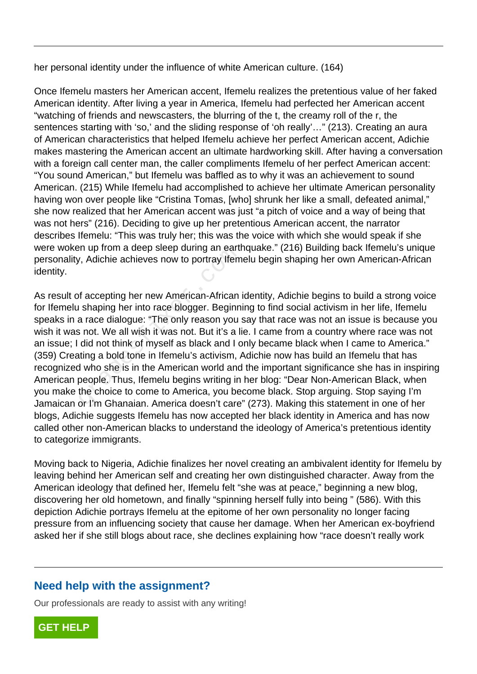her personal identity under the influence of white American culture. (164)

Once Ifemelu masters her American accent, Ifemelu realizes the pretentious value of her faked American identity. After living a year in America, Ifemelu had perfected her American accent "watching of friends and newscasters, the blurring of the t, the creamy roll of the r, the sentences starting with 'so,' and the sliding response of 'oh really'..." (213). Creating an aura of American characteristics that helped Ifemelu achieve her perfect American accent, Adichie makes mastering the American accent an ultimate hardworking skill. After having a conversation with a foreign call center man, the caller compliments Ifemelu of her perfect American accent: "You sound American," but Ifemelu was baffled as to why it was an achievement to sound American. (215) While Ifemelu had accomplished to achieve her ultimate American personality having won over people like "Cristina Tomas, [who] shrunk her like a small, defeated animal," she now realized that her American accent was just "a pitch of voice and a way of being that was not hers" (216). Deciding to give up her pretentious American accent, the narrator describes Ifemelu: "This was truly her; this was the voice with which she would speak if she were woken up from a deep sleep during an earthquake." (216) Building back Ifemelu's unique personality, Adichie achieves now to portray Ifemelu begin shaping her own American-African identity.

As result of accepting her new American-African identity, Adichie begins to build a strong voice for Ifemelu shaping her into race blogger. Beginning to find social activism in her life, Ifemelu speaks in a race dialogue: "The only reason you say that race was not an issue is because you wish it was not. We all wish it was not. But it's a lie. I came from a country where race was not an issue; I did not think of myself as black and I only became black when I came to America." (359) Creating a bold tone in Ifemelu's activism, Adichie now has build an Ifemelu that has recognized who she is in the American world and the important significance she has in inspiring American people. Thus, Ifemelu begins writing in her blog: "Dear Non-American Black, when you make the choice to come to America, you become black. Stop arguing. Stop saying I'm Jamaican or I'm Ghanaian. America doesn't care" (273). Making this statement in one of her blogs, Adichie suggests Ifemelu has now accepted her black identity in America and has now called other non-American blacks to understand the ideology of America's pretentious identity to categorize immigrants. ri up from a deep sleep during an eart<br>
in up from a deep sleep during an earth<br>
i shaping her new American-African<br>
i shaping her into race blogger. Beginn<br>
a race dialogue: "The only reason you<br>
is not. We all wish it wa

Moving back to Nigeria, Adichie finalizes her novel creating an ambivalent identity for Ifemelu by leaving behind her American self and creating her own distinguished character. Away from the American ideology that defined her, Ifemelu felt "she was at peace," beginning a new blog, discovering her old hometown, and finally "spinning herself fully into being " (586). With this depiction Adichie portrays Ifemelu at the epitome of her own personality no longer facing pressure from an influencing society that cause her damage. When her American ex-boyfriend asked her if she still blogs about race, she declines explaining how "race doesn't really work

## **Need help with the assignment?**

Our professionals are ready to assist with any writing!